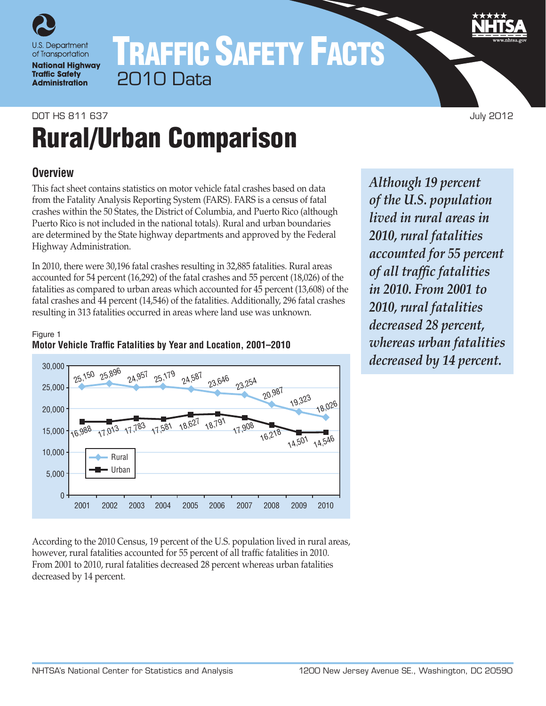

## TRAFFIC SAFETY FACTS 2010 Data

## DOT HS 811 637 July 2012

# Rural/Urban Comparison

## **Overview**

This fact sheet contains statistics on motor vehicle fatal crashes based on data from the Fatality Analysis Reporting System (FARS). FARS is a census of fatal crashes within the 50 States, the District of Columbia, and Puerto Rico (although Puerto Rico is not included in the national totals). Rural and urban boundaries are determined by the State highway departments and approved by the Federal Highway Administration.

In 2010, there were 30,196 fatal crashes resulting in 32,885 fatalities. Rural areas accounted for 54 percent (16,292) of the fatal crashes and 55 percent (18,026) of the fatalities as compared to urban areas which accounted for 45 percent (13,608) of the fatal crashes and 44 percent (14,546) of the fatalities. Additionally, 296 fatal crashes resulting in 313 fatalities occurred in areas where land use was unknown.

## Figure 1 **Motor Vehicle Traffic Fatalities by Year and Location, 2001–2010**



According to the 2010 Census, 19 percent of the U.S. population lived in rural areas, however, rural fatalities accounted for 55 percent of all traffic fatalities in 2010. From 2001 to 2010, rural fatalities decreased 28 percent whereas urban fatalities decreased by 14 percent.

*Although 19 percent of the U.S. population lived in rural areas in 2010, rural fatalities accounted for 55 percent of all traffic fatalities in 2010. From 2001 to 2010, rural fatalities decreased 28 percent, whereas urban fatalities decreased by 14 percent.*

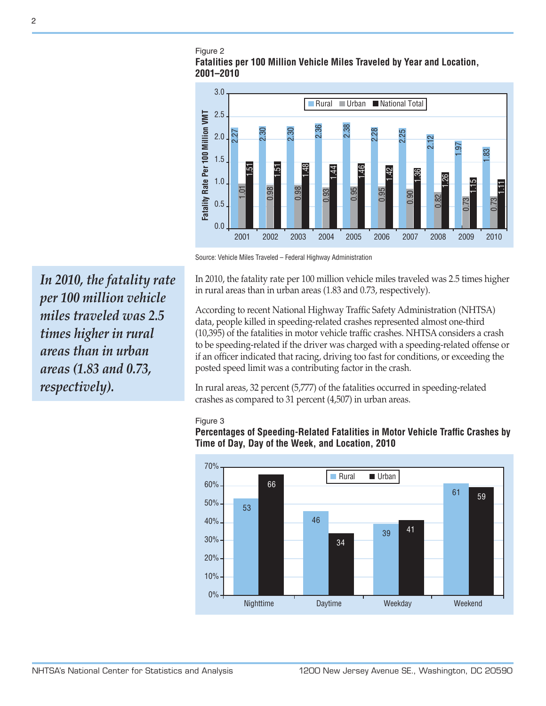#### Figure 2 **Fatalities per 100 Million Vehicle Miles Traveled by Year and Location, 2001–2010**



Source: Vehicle Miles Traveled – Federal Highway Administration

In 2010, the fatality rate per 100 million vehicle miles traveled was 2.5 times higher in rural areas than in urban areas (1.83 and 0.73, respectively).

According to recent National Highway Traffic Safety Administration (NHTSA) data, people killed in speeding-related crashes represented almost one-third (10,395) of the fatalities in motor vehicle traffic crashes. NHTSA considers a crash to be speeding-related if the driver was charged with a speeding-related offense or if an officer indicated that racing, driving too fast for conditions, or exceeding the posted speed limit was a contributing factor in the crash.

In rural areas, 32 percent (5,777) of the fatalities occurred in speeding-related crashes as compared to 31 percent (4,507) in urban areas.

#### Figure 3

**Percentages of Speeding-Related Fatalities in Motor Vehicle Traffic Crashes by Time of Day, Day of the Week, and Location, 2010**



*In 2010, the fatality rate per 100 million vehicle miles traveled was 2.5 times higher in rural areas than in urban areas (1.83 and 0.73, respectively).*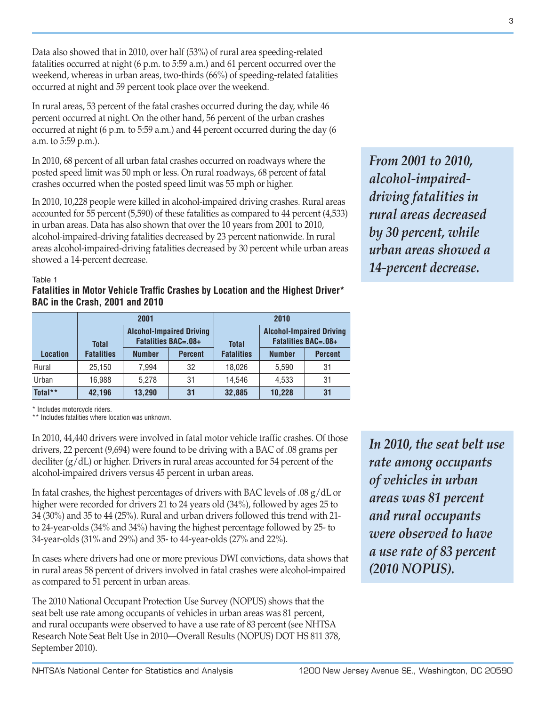Data also showed that in 2010, over half (53%) of rural area speeding-related fatalities occurred at night (6 p.m. to 5:59 a.m.) and 61 percent occurred over the weekend, whereas in urban areas, two-thirds (66%) of speeding-related fatalities occurred at night and 59 percent took place over the weekend.

In rural areas, 53 percent of the fatal crashes occurred during the day, while 46 percent occurred at night. On the other hand, 56 percent of the urban crashes occurred at night (6 p.m. to 5:59 a.m.) and 44 percent occurred during the day (6 a.m. to 5:59 p.m.).

In 2010, 68 percent of all urban fatal crashes occurred on roadways where the posted speed limit was 50 mph or less. On rural roadways, 68 percent of fatal crashes occurred when the posted speed limit was 55 mph or higher.

In 2010, 10,228 people were killed in alcohol-impaired driving crashes. Rural areas accounted for 55 percent (5,590) of these fatalities as compared to 44 percent (4,533) in urban areas. Data has also shown that over the 10 years from 2001 to 2010, alcohol-impaired-driving fatalities decreased by 23 percent nationwide. In rural areas alcohol-impaired-driving fatalities decreased by 30 percent while urban areas showed a 14-percent decrease.

*From 2001 to 2010, alcohol-impaireddriving fatalities in rural areas decreased by 30 percent, while urban areas showed a 14-percent decrease.*

#### Table 1

#### **Fatalities in Motor Vehicle Traffic Crashes by Location and the Highest Driver\* BAC in the Crash, 2001 and 2010**

|                 |                   | 2001          |                                                               | 2010              |                                                               |                |
|-----------------|-------------------|---------------|---------------------------------------------------------------|-------------------|---------------------------------------------------------------|----------------|
|                 | <b>Total</b>      |               | <b>Alcohol-Impaired Driving</b><br><b>Fatalities BAC=.08+</b> | <b>Total</b>      | <b>Alcohol-Impaired Driving</b><br><b>Fatalities BAC=.08+</b> |                |
| <b>Location</b> | <b>Fatalities</b> | <b>Number</b> | <b>Percent</b>                                                | <b>Fatalities</b> | <b>Number</b>                                                 | <b>Percent</b> |
| Rural           | 25.150            | 7.994         | 32                                                            | 18.026            | 5.590                                                         | 31             |
| Urban           | 16.988            | 5.278         | 31                                                            | 14.546            | 4.533                                                         | 31             |
| Total**         | 42,196            | 13,290        | 31                                                            | 32,885            | 10.228                                                        | 31             |

\* Includes motorcycle riders.

\*\* Includes fatalities where location was unknown.

In 2010, 44,440 drivers were involved in fatal motor vehicle traffic crashes. Of those drivers, 22 percent (9,694) were found to be driving with a BAC of .08 grams per deciliter (g/dL) or higher. Drivers in rural areas accounted for 54 percent of the alcohol-impaired drivers versus 45 percent in urban areas.

In fatal crashes, the highest percentages of drivers with BAC levels of .08 g/dL or higher were recorded for drivers 21 to 24 years old (34%), followed by ages 25 to 34 (30%) and 35 to 44 (25%). Rural and urban drivers followed this trend with 21 to 24-year-olds (34% and 34%) having the highest percentage followed by 25- to 34-year-olds (31% and 29%) and 35- to 44-year-olds (27% and 22%).

In cases where drivers had one or more previous DWI convictions, data shows that in rural areas 58 percent of drivers involved in fatal crashes were alcohol-impaired as compared to 51 percent in urban areas.

The 2010 National Occupant Protection Use Survey (NOPUS) shows that the seat belt use rate among occupants of vehicles in urban areas was 81 percent, and rural occupants were observed to have a use rate of 83 percent (see NHTSA Research Note Seat Belt Use in 2010—Overall Results (NOPUS) DOT HS 811 378, September 2010).

*In 2010, the seat belt use rate among occupants of vehicles in urban areas was 81 percent and rural occupants were observed to have a use rate of 83 percent (2010 NOPUS).*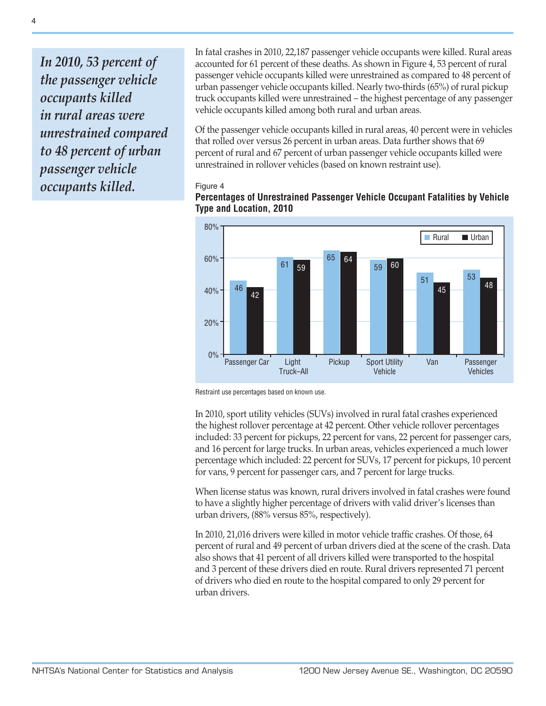*In 2010, 53 percent of the passenger vehicle occupants killed in rural areas were unrestrained compared to 48 percent of urban passenger vehicle occupants killed.*

In fatal crashes in 2010, 22,187 passenger vehicle occupants were killed. Rural areas accounted for 61 percent of these deaths. As shown in Figure 4, 53 percent of rural passenger vehicle occupants killed were unrestrained as compared to 48 percent of urban passenger vehicle occupants killed. Nearly two-thirds (65%) of rural pickup truck occupants killed were unrestrained – the highest percentage of any passenger vehicle occupants killed among both rural and urban areas.

Of the passenger vehicle occupants killed in rural areas, 40 percent were in vehicles that rolled over versus 26 percent in urban areas. Data further shows that 69 percent of rural and 67 percent of urban passenger vehicle occupants killed were unrestrained in rollover vehicles (based on known restraint use).

#### Figure 4



## **Percentages of Unrestrained Passenger Vehicle Occupant Fatalities by Vehicle Type and Location, 2010**

Restraint use percentages based on known use.

In 2010, sport utility vehicles (SUVs) involved in rural fatal crashes experienced the highest rollover percentage at 42 percent. Other vehicle rollover percentages included: 33 percent for pickups, 22 percent for vans, 22 percent for passenger cars, and 16 percent for large trucks. In urban areas, vehicles experienced a much lower percentage which included: 22 percent for SUVs, 17 percent for pickups, 10 percent for vans, 9 percent for passenger cars, and 7 percent for large trucks.

When license status was known, rural drivers involved in fatal crashes were found to have a slightly higher percentage of drivers with valid driver's licenses than urban drivers, (88% versus 85%, respectively).

In 2010, 21,016 drivers were killed in motor vehicle traffic crashes. Of those, 64 percent of rural and 49 percent of urban drivers died at the scene of the crash. Data also shows that 41 percent of all drivers killed were transported to the hospital and 3 percent of these drivers died en route. Rural drivers represented 71 percent of drivers who died en route to the hospital compared to only 29 percent for urban drivers.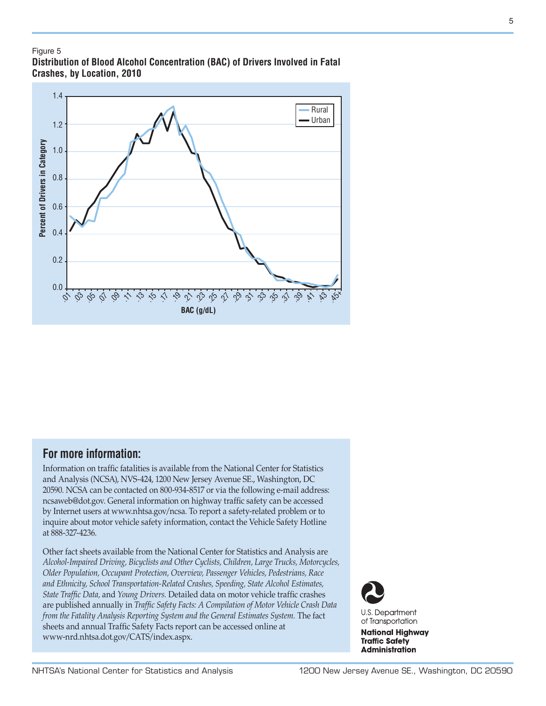#### Figure 5

**Distribution of Blood Alcohol Concentration (BAC) of Drivers Involved in Fatal Crashes, by Location, 2010**



## **For more information:**

Information on traffic fatalities is available from the National Center for Statistics and Analysis (NCSA), NVS-424, 1200 New Jersey Avenue SE., Washington, DC 20590. NCSA can be contacted on 800-934-8517 or via the following e-mail address: ncsaweb@dot.gov. General information on highway traffic safety can be accessed by Internet users at [www.nhtsa.gov/ncsa.](http://www.nhtsa.gov/portal/site/nhtsa/ncsa) To report a safety-related problem or to inquire about motor vehicle safety information, contact the Vehicle Safety Hotline at 888-327-4236.

Other fact sheets available from the National Center for Statistics and Analysis are *Alcohol-Impaired Driving, Bicyclists and Other Cyclists, Children, Large Trucks, Motorcycles, Older Population, Occupant Protection, Overview, Passenger Vehicles, Pedestrians, Race and Ethnicity, School Transportation-Related Crashes, Speeding, State Alcohol Estimates, State Traffic Data,* and *Young Drivers.* Detailed data on motor vehicle traffic crashes are published annually in *Traffic Safety Facts: A Compilation of Motor Vehicle Crash Data from the Fatality Analysis Reporting System and the General Estimates System.* The fact sheets and annual Traffic Safety Facts report can be accessed online at [www-nrd.nhtsa.dot.gov/CATS/index.aspx.](http://www-nrd.nhtsa.dot.gov/CATS/index.aspx)



**U.S. Department** of Transportation

**National Highway Traffic Safety Administration**